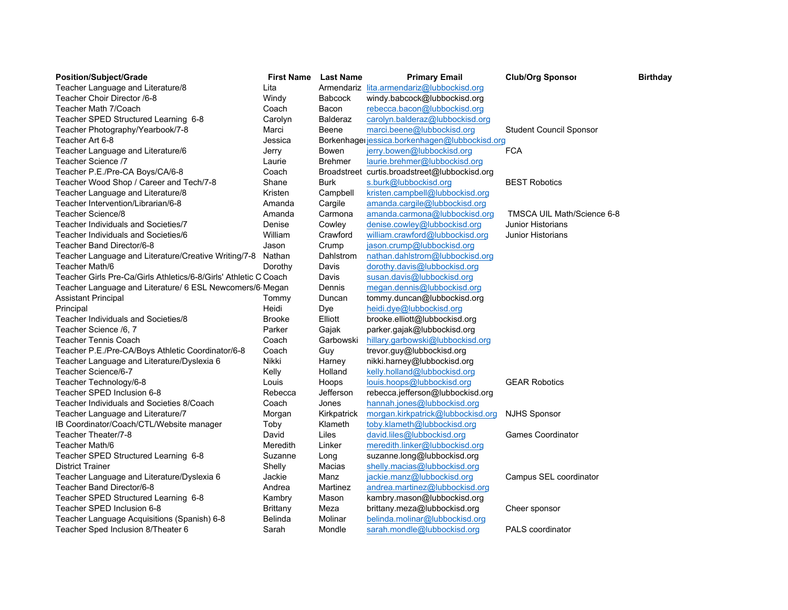| <b>Position/Subject/Grade</b>                                    | <b>First Name</b> | <b>Last Name</b> | <b>Primary Email</b>                           | <b>Club/Org Sponsor</b>        | <b>Birthday</b> |
|------------------------------------------------------------------|-------------------|------------------|------------------------------------------------|--------------------------------|-----------------|
| Teacher Language and Literature/8                                | Lita              |                  | Armendariz lita.armendariz@lubbockisd.org      |                                |                 |
| Teacher Choir Director /6-8                                      | Windy             | <b>Babcock</b>   | windy.babcock@lubbockisd.org                   |                                |                 |
| Teacher Math 7/Coach                                             | Coach             | Bacon            | rebecca.bacon@lubbockisd.org                   |                                |                 |
| Teacher SPED Structured Learning 6-8                             | Carolyn           | <b>Balderaz</b>  | carolyn.balderaz@lubbockisd.org                |                                |                 |
| Teacher Photography/Yearbook/7-8                                 | Marci             | Beene            | marci.beene@lubbockisd.org                     | <b>Student Council Sponsor</b> |                 |
| Teacher Art 6-8                                                  | Jessica           |                  | Borkenhager jessica.borkenhagen@lubbockisd.org |                                |                 |
| Teacher Language and Literature/6                                | Jerry             | Bowen            | jerry.bowen@lubbockisd.org                     | <b>FCA</b>                     |                 |
| Teacher Science /7                                               | Laurie            | <b>Brehmer</b>   | laurie.brehmer@lubbockisd.org                  |                                |                 |
| Teacher P.E./Pre-CA Boys/CA/6-8                                  | Coach             |                  | Broadstreet curtis.broadstreet@lubbockisd.org  |                                |                 |
| Teacher Wood Shop / Career and Tech/7-8                          | Shane             | <b>Burk</b>      | s.burk@lubbockisd.org                          | <b>BEST Robotics</b>           |                 |
| Teacher Language and Literature/8                                | Kristen           | Campbell         | kristen.campbell@lubbockisd.org                |                                |                 |
| Teacher Intervention/Librarian/6-8                               | Amanda            | Cargile          | amanda.cargile@lubbockisd.org                  |                                |                 |
| Teacher Science/8                                                | Amanda            | Carmona          | amanda.carmona@lubbockisd.org                  | TMSCA UIL Math/Science 6-8     |                 |
| Teacher Individuals and Societies/7                              | Denise            | Cowley           | denise.cowley@lubbockisd.org                   | <b>Junior Historians</b>       |                 |
| Teacher Individuals and Societies/6                              | William           | Crawford         | william.crawford@lubbockisd.org                | <b>Junior Historians</b>       |                 |
| Teacher Band Director/6-8                                        | Jason             | Crump            | jason.crump@lubbockisd.org                     |                                |                 |
| Teacher Language and Literature/Creative Writing/7-8 Nathan      |                   | Dahlstrom        | nathan.dahlstrom@lubbockisd.org                |                                |                 |
| Teacher Math/6                                                   | Dorothy           | Davis            | dorothy.davis@lubbockisd.org                   |                                |                 |
| Teacher Girls Pre-Ca/Girls Athletics/6-8/Girls' Athletic C Coach |                   | Davis            | susan.davis@lubbockisd.org                     |                                |                 |
| Teacher Language and Literature/ 6 ESL Newcomers/6 Megan         |                   | Dennis           | megan.dennis@lubbockisd.org                    |                                |                 |
| <b>Assistant Principal</b>                                       | Tommy             | Duncan           | tommy.duncan@lubbockisd.org                    |                                |                 |
| Principal                                                        | Heidi             | Dye              | heidi.dye@lubbockisd.org                       |                                |                 |
| Teacher Individuals and Societies/8                              | <b>Brooke</b>     | Elliott          | brooke.elliott@lubbockisd.org                  |                                |                 |
| Teacher Science /6, 7                                            | Parker            | Gajak            | parker.gajak@lubbockisd.org                    |                                |                 |
| <b>Teacher Tennis Coach</b>                                      | Coach             | Garbowski        | hillary.garbowski@lubbockisd.org               |                                |                 |
| Teacher P.E./Pre-CA/Boys Athletic Coordinator/6-8                | Coach             | Guy              | trevor.guy@lubbockisd.org                      |                                |                 |
| Teacher Language and Literature/Dyslexia 6                       | Nikki             | Harney           | nikki.harney@lubbockisd.org                    |                                |                 |
| Teacher Science/6-7                                              | Kelly             | Holland          | kelly.holland@lubbockisd.org                   |                                |                 |
| Teacher Technology/6-8                                           | Louis             | Hoops            | louis.hoops@lubbockisd.org                     | <b>GEAR Robotics</b>           |                 |
| Teacher SPED Inclusion 6-8                                       | Rebecca           | Jefferson        | rebecca.jefferson@lubbockisd.org               |                                |                 |
| Teacher Individuals and Societies 8/Coach                        | Coach             | Jones            | hannah.jones@lubbockisd.org                    |                                |                 |
| Teacher Language and Literature/7                                | Morgan            | Kirkpatrick      | morgan.kirkpatrick@lubbockisd.org              | <b>NJHS Sponsor</b>            |                 |
| IB Coordinator/Coach/CTL/Website manager                         | Toby              | Klameth          | toby.klameth@lubbockisd.org                    |                                |                 |
| Teacher Theater/7-8                                              | David             | Liles            | david.liles@lubbockisd.org                     | <b>Games Coordinator</b>       |                 |
| Teacher Math/6                                                   | Meredith          | Linker           | meredith.linker@lubbockisd.org                 |                                |                 |
| Teacher SPED Structured Learning 6-8                             | Suzanne           | Long             | suzanne.long@lubbockisd.org                    |                                |                 |
| <b>District Trainer</b>                                          | Shelly            | Macias           | shelly.macias@lubbockisd.org                   |                                |                 |
| Teacher Language and Literature/Dyslexia 6                       | Jackie            | Manz             | jackie.manz@lubbockisd.org                     | Campus SEL coordinator         |                 |
| Teacher Band Director/6-8                                        | Andrea            | Martinez         | andrea.martinez@lubbockisd.org                 |                                |                 |
| Teacher SPED Structured Learning 6-8                             | Kambry            | Mason            | kambry.mason@lubbockisd.org                    |                                |                 |
| Teacher SPED Inclusion 6-8                                       | Brittany          | Meza             | brittany.meza@lubbockisd.org                   | Cheer sponsor                  |                 |
| Teacher Language Acquisitions (Spanish) 6-8                      | Belinda           | Molinar          | belinda.molinar@lubbockisd.org                 |                                |                 |
| Teacher Sped Inclusion 8/Theater 6                               | Sarah             | Mondle           | sarah.mondle@lubbockisd.org                    | <b>PALS</b> coordinator        |                 |
|                                                                  |                   |                  |                                                |                                |                 |